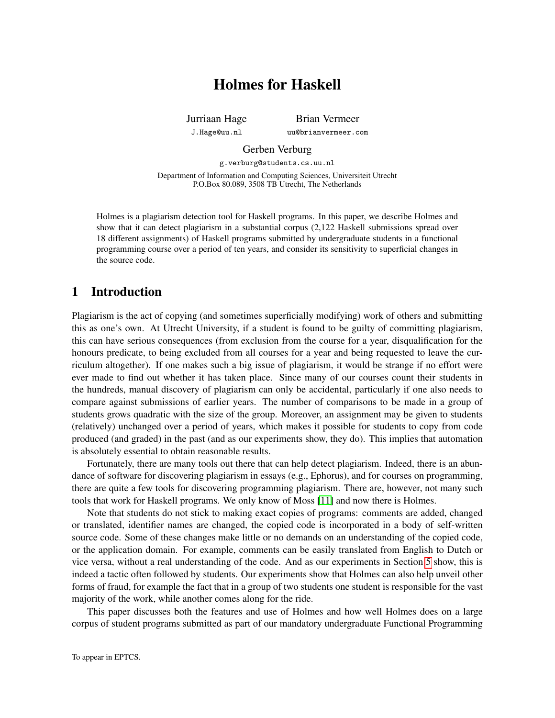# Holmes for Haskell

Jurriaan Hage J.Hage@uu.nl

Brian Vermeer uu@brianvermeer.com

Gerben Verburg

g.verburg@students.cs.uu.nl Department of Information and Computing Sciences, Universiteit Utrecht P.O.Box 80.089, 3508 TB Utrecht, The Netherlands

Holmes is a plagiarism detection tool for Haskell programs. In this paper, we describe Holmes and show that it can detect plagiarism in a substantial corpus (2,122 Haskell submissions spread over 18 different assignments) of Haskell programs submitted by undergraduate students in a functional programming course over a period of ten years, and consider its sensitivity to superficial changes in the source code.

# 1 Introduction

Plagiarism is the act of copying (and sometimes superficially modifying) work of others and submitting this as one's own. At Utrecht University, if a student is found to be guilty of committing plagiarism, this can have serious consequences (from exclusion from the course for a year, disqualification for the honours predicate, to being excluded from all courses for a year and being requested to leave the curriculum altogether). If one makes such a big issue of plagiarism, it would be strange if no effort were ever made to find out whether it has taken place. Since many of our courses count their students in the hundreds, manual discovery of plagiarism can only be accidental, particularly if one also needs to compare against submissions of earlier years. The number of comparisons to be made in a group of students grows quadratic with the size of the group. Moreover, an assignment may be given to students (relatively) unchanged over a period of years, which makes it possible for students to copy from code produced (and graded) in the past (and as our experiments show, they do). This implies that automation is absolutely essential to obtain reasonable results.

Fortunately, there are many tools out there that can help detect plagiarism. Indeed, there is an abundance of software for discovering plagiarism in essays (e.g., Ephorus), and for courses on programming, there are quite a few tools for discovering programming plagiarism. There are, however, not many such tools that work for Haskell programs. We only know of Moss [\[11\]](#page-14-0) and now there is Holmes.

Note that students do not stick to making exact copies of programs: comments are added, changed or translated, identifier names are changed, the copied code is incorporated in a body of self-written source code. Some of these changes make little or no demands on an understanding of the copied code, or the application domain. For example, comments can be easily translated from English to Dutch or vice versa, without a real understanding of the code. And as our experiments in Section [5](#page-8-0) show, this is indeed a tactic often followed by students. Our experiments show that Holmes can also help unveil other forms of fraud, for example the fact that in a group of two students one student is responsible for the vast majority of the work, while another comes along for the ride.

This paper discusses both the features and use of Holmes and how well Holmes does on a large corpus of student programs submitted as part of our mandatory undergraduate Functional Programming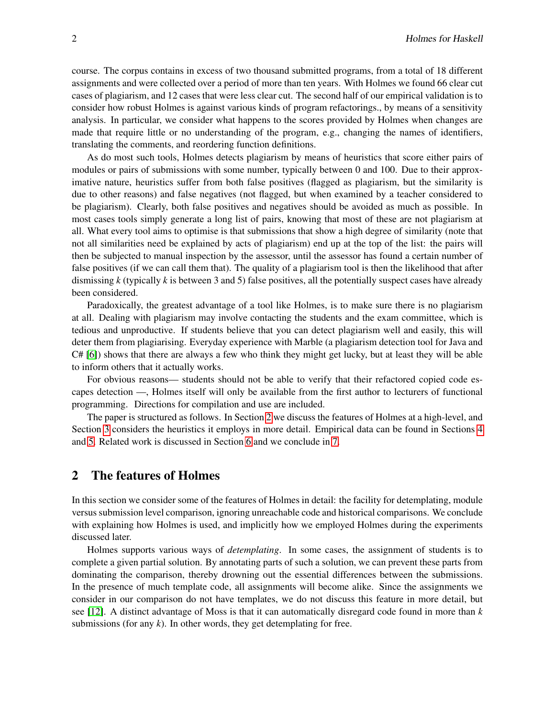course. The corpus contains in excess of two thousand submitted programs, from a total of 18 different assignments and were collected over a period of more than ten years. With Holmes we found 66 clear cut cases of plagiarism, and 12 cases that were less clear cut. The second half of our empirical validation is to consider how robust Holmes is against various kinds of program refactorings., by means of a sensitivity analysis. In particular, we consider what happens to the scores provided by Holmes when changes are made that require little or no understanding of the program, e.g., changing the names of identifiers, translating the comments, and reordering function definitions.

As do most such tools, Holmes detects plagiarism by means of heuristics that score either pairs of modules or pairs of submissions with some number, typically between 0 and 100. Due to their approximative nature, heuristics suffer from both false positives (flagged as plagiarism, but the similarity is due to other reasons) and false negatives (not flagged, but when examined by a teacher considered to be plagiarism). Clearly, both false positives and negatives should be avoided as much as possible. In most cases tools simply generate a long list of pairs, knowing that most of these are not plagiarism at all. What every tool aims to optimise is that submissions that show a high degree of similarity (note that not all similarities need be explained by acts of plagiarism) end up at the top of the list: the pairs will then be subjected to manual inspection by the assessor, until the assessor has found a certain number of false positives (if we can call them that). The quality of a plagiarism tool is then the likelihood that after dismissing *k* (typically *k* is between 3 and 5) false positives, all the potentially suspect cases have already been considered.

Paradoxically, the greatest advantage of a tool like Holmes, is to make sure there is no plagiarism at all. Dealing with plagiarism may involve contacting the students and the exam committee, which is tedious and unproductive. If students believe that you can detect plagiarism well and easily, this will deter them from plagiarising. Everyday experience with Marble (a plagiarism detection tool for Java and C# [\[6\]](#page-14-1)) shows that there are always a few who think they might get lucky, but at least they will be able to inform others that it actually works.

For obvious reasons— students should not be able to verify that their refactored copied code escapes detection —, Holmes itself will only be available from the first author to lecturers of functional programming. Directions for compilation and use are included.

The paper is structured as follows. In Section [2](#page-1-0) we discuss the features of Holmes at a high-level, and Section [3](#page-4-0) considers the heuristics it employs in more detail. Empirical data can be found in Sections [4](#page-7-0) and [5.](#page-8-0) Related work is discussed in Section [6](#page-12-0) and we conclude in [7.](#page-13-0)

# <span id="page-1-0"></span>2 The features of Holmes

In this section we consider some of the features of Holmes in detail: the facility for detemplating, module versus submission level comparison, ignoring unreachable code and historical comparisons. We conclude with explaining how Holmes is used, and implicitly how we employed Holmes during the experiments discussed later.

Holmes supports various ways of *detemplating*. In some cases, the assignment of students is to complete a given partial solution. By annotating parts of such a solution, we can prevent these parts from dominating the comparison, thereby drowning out the essential differences between the submissions. In the presence of much template code, all assignments will become alike. Since the assignments we consider in our comparison do not have templates, we do not discuss this feature in more detail, but see [\[12\]](#page-14-2). A distinct advantage of Moss is that it can automatically disregard code found in more than *k* submissions (for any  $k$ ). In other words, they get detemplating for free.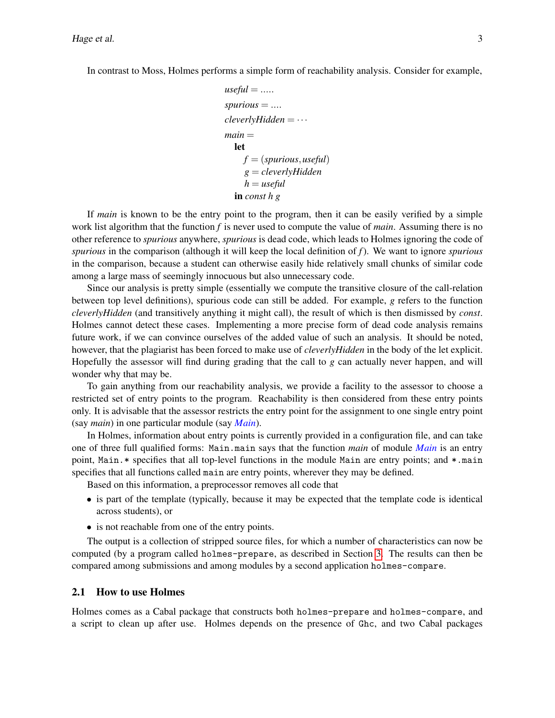In contrast to Moss, Holmes performs a simple form of reachability analysis. Consider for example,

```
useful = ...spurious = ....
cleverlyHidden = ···
main =
  let
    f = (spurious,useful)
    g = cleverlyHidden
     h = useful
  in const h g
```
If *main* is known to be the entry point to the program, then it can be easily verified by a simple work list algorithm that the function *f* is never used to compute the value of *main*. Assuming there is no other reference to *spurious* anywhere, *spurious* is dead code, which leads to Holmes ignoring the code of *spurious* in the comparison (although it will keep the local definition of *f*). We want to ignore *spurious* in the comparison, because a student can otherwise easily hide relatively small chunks of similar code among a large mass of seemingly innocuous but also unnecessary code.

Since our analysis is pretty simple (essentially we compute the transitive closure of the call-relation between top level definitions), spurious code can still be added. For example, *g* refers to the function *cleverlyHidden* (and transitively anything it might call), the result of which is then dismissed by *const*. Holmes cannot detect these cases. Implementing a more precise form of dead code analysis remains future work, if we can convince ourselves of the added value of such an analysis. It should be noted, however, that the plagiarist has been forced to make use of *cleverlyHidden* in the body of the let explicit. Hopefully the assessor will find during grading that the call to *g* can actually never happen, and will wonder why that may be.

To gain anything from our reachability analysis, we provide a facility to the assessor to choose a restricted set of entry points to the program. Reachability is then considered from these entry points only. It is advisable that the assessor restricts the entry point for the assignment to one single entry point (say *main*) in one particular module (say *Main*).

In Holmes, information about entry points is currently provided in a configuration file, and can take one of three full qualified forms: Main.main says that the function *main* of module *Main* is an entry point, Main.  $*$  specifies that all top-level functions in the module Main are entry points; and  $*$  main specifies that all functions called main are entry points, wherever they may be defined.

Based on this information, a preprocessor removes all code that

- is part of the template (typically, because it may be expected that the template code is identical across students), or
- is not reachable from one of the entry points.

The output is a collection of stripped source files, for which a number of characteristics can now be computed (by a program called holmes-prepare, as described in Section [3.](#page-4-0) The results can then be compared among submissions and among modules by a second application holmes-compare.

#### 2.1 How to use Holmes

Holmes comes as a Cabal package that constructs both holmes-prepare and holmes-compare, and a script to clean up after use. Holmes depends on the presence of Ghc, and two Cabal packages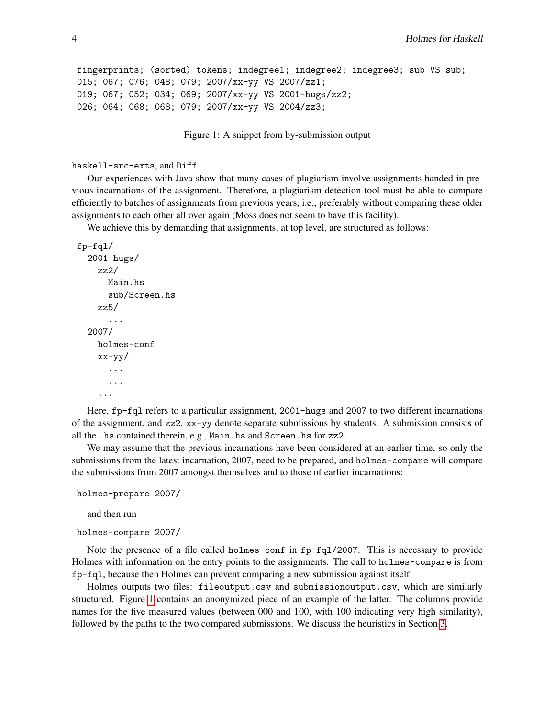```
fingerprints; (sorted) tokens; indegree1; indegree2; indegree3; sub VS sub;
015; 067; 076; 048; 079; 2007/xx-yy VS 2007/zz1;
019; 067; 052; 034; 069; 2007/xx-yy VS 2001-hugs/zz2;
026; 064; 068; 068; 079; 2007/xx-yy VS 2004/zz3;
```
<span id="page-3-0"></span>Figure 1: A snippet from by-submission output

```
haskell-src-exts, and Diff.
```
Our experiences with Java show that many cases of plagiarism involve assignments handed in previous incarnations of the assignment. Therefore, a plagiarism detection tool must be able to compare efficiently to batches of assignments from previous years, i.e., preferably without comparing these older assignments to each other all over again (Moss does not seem to have this facility).

We achieve this by demanding that assignments, at top level, are structured as follows:

```
fp-fql/
  2001-hugs/
    zz2/
      Main.hs
      sub/Screen.hs
    zz5/
       ...
  2007/
    holmes-conf
    xx-yy/
       ...
       ...
    ...
```
Here, fp-fql refers to a particular assignment, 2001-hugs and 2007 to two different incarnations of the assignment, and zz2, xx-yy denote separate submissions by students. A submission consists of all the .hs contained therein, e.g., Main.hs and Screen.hs for zz2.

We may assume that the previous incarnations have been considered at an earlier time, so only the submissions from the latest incarnation, 2007, need to be prepared, and holmes-compare will compare the submissions from 2007 amongst themselves and to those of earlier incarnations:

```
holmes-prepare 2007/
```
and then run

```
holmes-compare 2007/
```
Note the presence of a file called holmes-conf in fp-fql/2007. This is necessary to provide Holmes with information on the entry points to the assignments. The call to holmes-compare is from fp-fql, because then Holmes can prevent comparing a new submission against itself.

Holmes outputs two files: fileoutput.csv and submissionoutput.csv, which are similarly structured. Figure [1](#page-3-0) contains an anonymized piece of an example of the latter. The columns provide names for the five measured values (between 000 and 100, with 100 indicating very high similarity), followed by the paths to the two compared submissions. We discuss the heuristics in Section [3.](#page-4-0)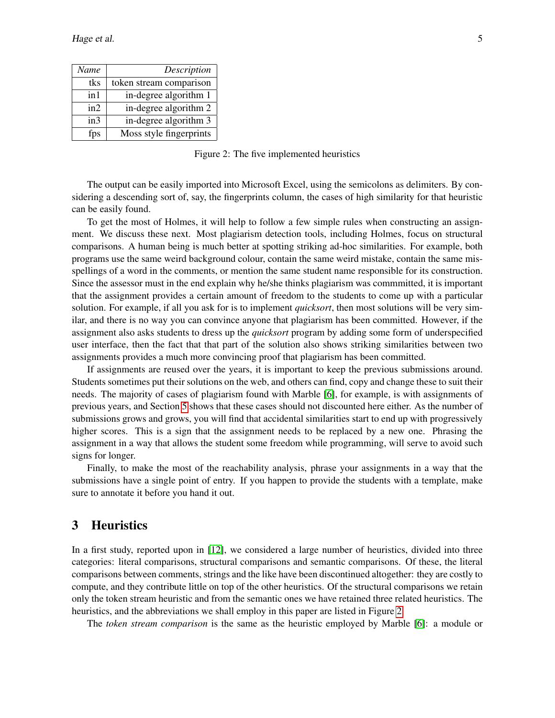| Name | Description             |
|------|-------------------------|
| tks  | token stream comparison |
| in 1 | in-degree algorithm 1   |
| in2  | in-degree algorithm 2   |
| in3  | in-degree algorithm 3   |
| fps  | Moss style fingerprints |

<span id="page-4-1"></span>Figure 2: The five implemented heuristics

The output can be easily imported into Microsoft Excel, using the semicolons as delimiters. By considering a descending sort of, say, the fingerprints column, the cases of high similarity for that heuristic can be easily found.

To get the most of Holmes, it will help to follow a few simple rules when constructing an assignment. We discuss these next. Most plagiarism detection tools, including Holmes, focus on structural comparisons. A human being is much better at spotting striking ad-hoc similarities. For example, both programs use the same weird background colour, contain the same weird mistake, contain the same misspellings of a word in the comments, or mention the same student name responsible for its construction. Since the assessor must in the end explain why he/she thinks plagiarism was commmitted, it is important that the assignment provides a certain amount of freedom to the students to come up with a particular solution. For example, if all you ask for is to implement *quicksort*, then most solutions will be very similar, and there is no way you can convince anyone that plagiarism has been committed. However, if the assignment also asks students to dress up the *quicksort* program by adding some form of underspecified user interface, then the fact that that part of the solution also shows striking similarities between two assignments provides a much more convincing proof that plagiarism has been committed.

If assignments are reused over the years, it is important to keep the previous submissions around. Students sometimes put their solutions on the web, and others can find, copy and change these to suit their needs. The majority of cases of plagiarism found with Marble [\[6\]](#page-14-1), for example, is with assignments of previous years, and Section [5](#page-8-0) shows that these cases should not discounted here either. As the number of submissions grows and grows, you will find that accidental similarities start to end up with progressively higher scores. This is a sign that the assignment needs to be replaced by a new one. Phrasing the assignment in a way that allows the student some freedom while programming, will serve to avoid such signs for longer.

Finally, to make the most of the reachability analysis, phrase your assignments in a way that the submissions have a single point of entry. If you happen to provide the students with a template, make sure to annotate it before you hand it out.

# <span id="page-4-0"></span>3 Heuristics

In a first study, reported upon in [\[12\]](#page-14-2), we considered a large number of heuristics, divided into three categories: literal comparisons, structural comparisons and semantic comparisons. Of these, the literal comparisons between comments, strings and the like have been discontinued altogether: they are costly to compute, and they contribute little on top of the other heuristics. Of the structural comparisons we retain only the token stream heuristic and from the semantic ones we have retained three related heuristics. The heuristics, and the abbreviations we shall employ in this paper are listed in Figure [2.](#page-4-1)

The *token stream comparison* is the same as the heuristic employed by Marble [\[6\]](#page-14-1): a module or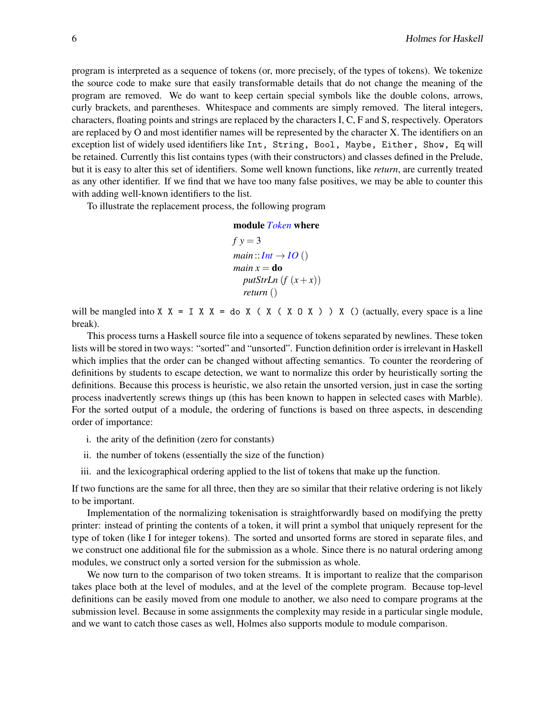program is interpreted as a sequence of tokens (or, more precisely, of the types of tokens). We tokenize the source code to make sure that easily transformable details that do not change the meaning of the program are removed. We do want to keep certain special symbols like the double colons, arrows, curly brackets, and parentheses. Whitespace and comments are simply removed. The literal integers, characters, floating points and strings are replaced by the characters I, C, F and S, respectively. Operators are replaced by O and most identifier names will be represented by the character X. The identifiers on an exception list of widely used identifiers like Int, String, Bool, Maybe, Either, Show, Eq will be retained. Currently this list contains types (with their constructors) and classes defined in the Prelude, but it is easy to alter this set of identifiers. Some well known functions, like *return*, are currently treated as any other identifier. If we find that we have too many false positives, we may be able to counter this with adding well-known identifiers to the list.

To illustrate the replacement process, the following program

module *Token* where

 $f y = 3$  $main$  :: *Int*  $\rightarrow$  *IO* () *main*  $x =$ **do**  $putStrLn(f(x+x))$ *return* ()

will be mangled into X  $X = I X X = do X (X (X O X)) X ()$  (actually, every space is a line break).

This process turns a Haskell source file into a sequence of tokens separated by newlines. These token lists will be stored in two ways: "sorted" and "unsorted". Function definition order is irrelevant in Haskell which implies that the order can be changed without affecting semantics. To counter the reordering of definitions by students to escape detection, we want to normalize this order by heuristically sorting the definitions. Because this process is heuristic, we also retain the unsorted version, just in case the sorting process inadvertently screws things up (this has been known to happen in selected cases with Marble). For the sorted output of a module, the ordering of functions is based on three aspects, in descending order of importance:

- i. the arity of the definition (zero for constants)
- ii. the number of tokens (essentially the size of the function)
- iii. and the lexicographical ordering applied to the list of tokens that make up the function.

If two functions are the same for all three, then they are so similar that their relative ordering is not likely to be important.

Implementation of the normalizing tokenisation is straightforwardly based on modifying the pretty printer: instead of printing the contents of a token, it will print a symbol that uniquely represent for the type of token (like I for integer tokens). The sorted and unsorted forms are stored in separate files, and we construct one additional file for the submission as a whole. Since there is no natural ordering among modules, we construct only a sorted version for the submission as whole.

We now turn to the comparison of two token streams. It is important to realize that the comparison takes place both at the level of modules, and at the level of the complete program. Because top-level definitions can be easily moved from one module to another, we also need to compare programs at the submission level. Because in some assignments the complexity may reside in a particular single module, and we want to catch those cases as well, Holmes also supports module to module comparison.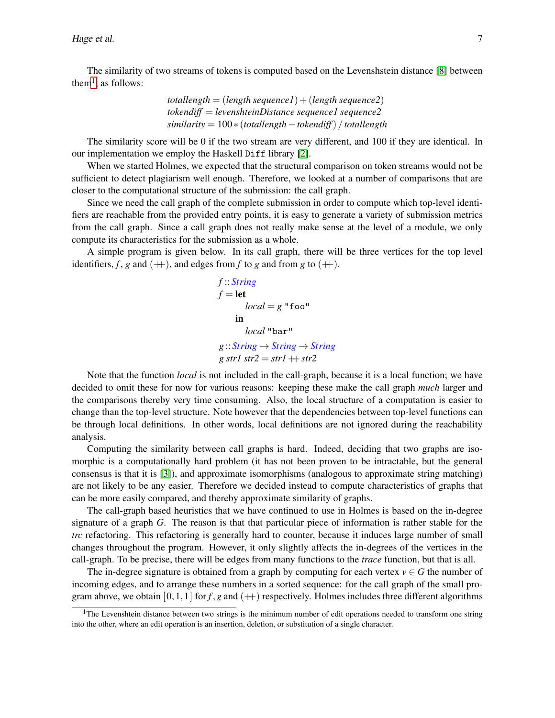The similarity of two streams of tokens is computed based on the Levenshstein distance [\[8\]](#page-14-3) between them<sup>[1](#page-6-0)</sup>, as follows:

$$
total length = (length sequenced) + (length sequence2)
$$
  

$$
tokendiff = levenshteinDistance sequenced sequence2
$$
  

$$
similarity = 100 * (total length - tokendiff) / total length
$$

The similarity score will be 0 if the two stream are very different, and 100 if they are identical. In our implementation we employ the Haskell Diff library [\[2\]](#page-13-1).

When we started Holmes, we expected that the structural comparison on token streams would not be sufficient to detect plagiarism well enough. Therefore, we looked at a number of comparisons that are closer to the computational structure of the submission: the call graph.

Since we need the call graph of the complete submission in order to compute which top-level identifiers are reachable from the provided entry points, it is easy to generate a variety of submission metrics from the call graph. Since a call graph does not really make sense at the level of a module, we only compute its characteristics for the submission as a whole.

A simple program is given below. In its call graph, there will be three vertices for the top level identifiers,  $f$ ,  $g$  and  $(+)$ , and edges from  $f$  to  $g$  and from  $g$  to  $(+)$ .

```
f :: String
f = \text{let}local = g "foo"
     in
        local "bar"
g :: String → String → String
g \, str1 \, str2 = str1 + str2
```
Note that the function *local* is not included in the call-graph, because it is a local function; we have decided to omit these for now for various reasons: keeping these make the call graph *much* larger and the comparisons thereby very time consuming. Also, the local structure of a computation is easier to change than the top-level structure. Note however that the dependencies between top-level functions can be through local definitions. In other words, local definitions are not ignored during the reachability analysis.

Computing the similarity between call graphs is hard. Indeed, deciding that two graphs are isomorphic is a computationally hard problem (it has not been proven to be intractable, but the general consensus is that it is [\[3\]](#page-14-4)), and approximate isomorphisms (analogous to approximate string matching) are not likely to be any easier. Therefore we decided instead to compute characteristics of graphs that can be more easily compared, and thereby approximate similarity of graphs.

The call-graph based heuristics that we have continued to use in Holmes is based on the in-degree signature of a graph *G*. The reason is that that particular piece of information is rather stable for the *trc* refactoring. This refactoring is generally hard to counter, because it induces large number of small changes throughout the program. However, it only slightly affects the in-degrees of the vertices in the call-graph. To be precise, there will be edges from many functions to the *trace* function, but that is all.

The in-degree signature is obtained from a graph by computing for each vertex  $v \in G$  the number of incoming edges, and to arrange these numbers in a sorted sequence: for the call graph of the small program above, we obtain  $[0,1,1]$  for  $f, g$  and  $(+)$  respectively. Holmes includes three different algorithms

<span id="page-6-0"></span> $<sup>1</sup>$ The Levenshtein distance between two strings is the minimum number of edit operations needed to transform one string</sup> into the other, where an edit operation is an insertion, deletion, or substitution of a single character.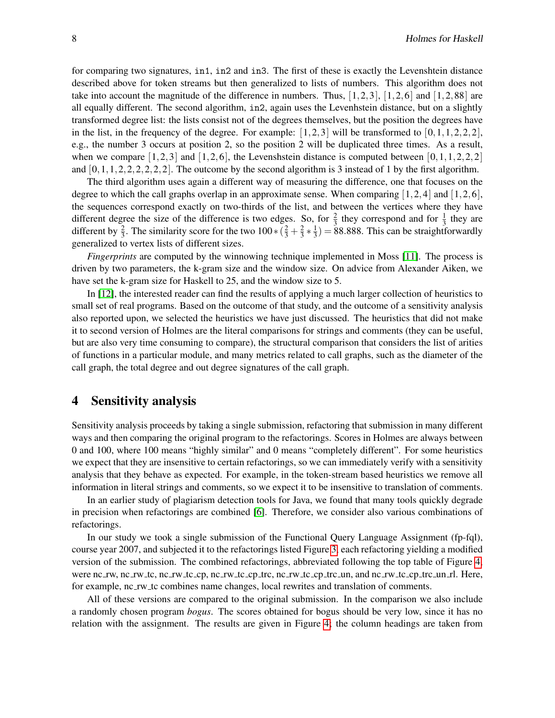for comparing two signatures, in1, in2 and in3. The first of these is exactly the Levenshtein distance described above for token streams but then generalized to lists of numbers. This algorithm does not take into account the magnitude of the difference in numbers. Thus,  $[1,2,3]$ ,  $[1,2,6]$  and  $[1,2,88]$  are all equally different. The second algorithm, in2, again uses the Levenhstein distance, but on a slightly transformed degree list: the lists consist not of the degrees themselves, but the position the degrees have in the list, in the frequency of the degree. For example:  $\begin{bmatrix} 1,2,3 \end{bmatrix}$  will be transformed to  $\begin{bmatrix} 0,1,1,2,2,2 \end{bmatrix}$ , e.g., the number 3 occurs at position 2, so the position 2 will be duplicated three times. As a result, when we compare  $[1,2,3]$  and  $[1,2,6]$ , the Levenshstein distance is computed between  $[0,1,1,2,2,2]$ and  $[0,1,1,2,2,2,2,2,2]$ . The outcome by the second algorithm is 3 instead of 1 by the first algorithm.

The third algorithm uses again a different way of measuring the difference, one that focuses on the degree to which the call graphs overlap in an approximate sense. When comparing  $[1,2,4]$  and  $[1,2,6]$ , the sequences correspond exactly on two-thirds of the list, and between the vertices where they have different degree the size of the difference is two edges. So, for  $\frac{2}{3}$  they correspond and for  $\frac{1}{3}$  they are different by  $\frac{2}{3}$ . The similarity score for the two  $100 * (\frac{2}{3} + \frac{2}{3})$  $rac{2}{3} * \frac{1}{3}$  $\frac{1}{3}$ ) = 88.888. This can be straightforwardly generalized to vertex lists of different sizes.

*Fingerprints* are computed by the winnowing technique implemented in Moss [\[11\]](#page-14-0). The process is driven by two parameters, the k-gram size and the window size. On advice from Alexander Aiken, we have set the k-gram size for Haskell to 25, and the window size to 5.

In [\[12\]](#page-14-2), the interested reader can find the results of applying a much larger collection of heuristics to small set of real programs. Based on the outcome of that study, and the outcome of a sensitivity analysis also reported upon, we selected the heuristics we have just discussed. The heuristics that did not make it to second version of Holmes are the literal comparisons for strings and comments (they can be useful, but are also very time consuming to compare), the structural comparison that considers the list of arities of functions in a particular module, and many metrics related to call graphs, such as the diameter of the call graph, the total degree and out degree signatures of the call graph.

#### <span id="page-7-0"></span>4 Sensitivity analysis

Sensitivity analysis proceeds by taking a single submission, refactoring that submission in many different ways and then comparing the original program to the refactorings. Scores in Holmes are always between 0 and 100, where 100 means "highly similar" and 0 means "completely different". For some heuristics we expect that they are insensitive to certain refactorings, so we can immediately verify with a sensitivity analysis that they behave as expected. For example, in the token-stream based heuristics we remove all information in literal strings and comments, so we expect it to be insensitive to translation of comments.

In an earlier study of plagiarism detection tools for Java, we found that many tools quickly degrade in precision when refactorings are combined [\[6\]](#page-14-1). Therefore, we consider also various combinations of refactorings.

In our study we took a single submission of the Functional Query Language Assignment (fp-fql), course year 2007, and subjected it to the refactorings listed Figure [3,](#page-9-0) each refactoring yielding a modified version of the submission. The combined refactorings, abbreviated following the top table of Figure [4,](#page-9-1) were nc rw, nc rw tc, nc rw tc cp, nc rw tc cp trc, nc rw tc cp trc un, and nc rw tc cp trc un rl. Here, for example, nc rw tc combines name changes, local rewrites and translation of comments.

All of these versions are compared to the original submission. In the comparison we also include a randomly chosen program *bogus*. The scores obtained for bogus should be very low, since it has no relation with the assignment. The results are given in Figure [4;](#page-9-1) the column headings are taken from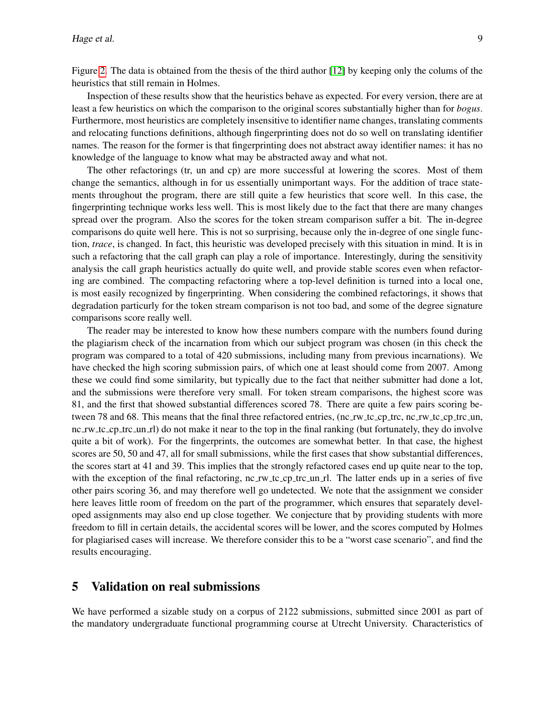Figure [2.](#page-4-1) The data is obtained from the thesis of the third author [\[12\]](#page-14-2) by keeping only the colums of the heuristics that still remain in Holmes.

Inspection of these results show that the heuristics behave as expected. For every version, there are at least a few heuristics on which the comparison to the original scores substantially higher than for *bogus*. Furthermore, most heuristics are completely insensitive to identifier name changes, translating comments and relocating functions definitions, although fingerprinting does not do so well on translating identifier names. The reason for the former is that fingerprinting does not abstract away identifier names: it has no knowledge of the language to know what may be abstracted away and what not.

The other refactorings (tr, un and cp) are more successful at lowering the scores. Most of them change the semantics, although in for us essentially unimportant ways. For the addition of trace statements throughout the program, there are still quite a few heuristics that score well. In this case, the fingerprinting technique works less well. This is most likely due to the fact that there are many changes spread over the program. Also the scores for the token stream comparison suffer a bit. The in-degree comparisons do quite well here. This is not so surprising, because only the in-degree of one single function, *trace*, is changed. In fact, this heuristic was developed precisely with this situation in mind. It is in such a refactoring that the call graph can play a role of importance. Interestingly, during the sensitivity analysis the call graph heuristics actually do quite well, and provide stable scores even when refactoring are combined. The compacting refactoring where a top-level definition is turned into a local one, is most easily recognized by fingerprinting. When considering the combined refactorings, it shows that degradation particurly for the token stream comparison is not too bad, and some of the degree signature comparisons score really well.

The reader may be interested to know how these numbers compare with the numbers found during the plagiarism check of the incarnation from which our subject program was chosen (in this check the program was compared to a total of 420 submissions, including many from previous incarnations). We have checked the high scoring submission pairs, of which one at least should come from 2007. Among these we could find some similarity, but typically due to the fact that neither submitter had done a lot, and the submissions were therefore very small. For token stream comparisons, the highest score was 81, and the first that showed substantial differences scored 78. There are quite a few pairs scoring between 78 and 68. This means that the final three refactored entries, (nc rw tc cp trc, nc rw tc cp trc un, nc rw tc cp trc un rl) do not make it near to the top in the final ranking (but fortunately, they do involve quite a bit of work). For the fingerprints, the outcomes are somewhat better. In that case, the highest scores are 50, 50 and 47, all for small submissions, while the first cases that show substantial differences, the scores start at 41 and 39. This implies that the strongly refactored cases end up quite near to the top, with the exception of the final refactoring, nc rw tc cp trc un rl. The latter ends up in a series of five other pairs scoring 36, and may therefore well go undetected. We note that the assignment we consider here leaves little room of freedom on the part of the programmer, which ensures that separately developed assignments may also end up close together. We conjecture that by providing students with more freedom to fill in certain details, the accidental scores will be lower, and the scores computed by Holmes for plagiarised cases will increase. We therefore consider this to be a "worst case scenario", and find the results encouraging.

## <span id="page-8-0"></span>5 Validation on real submissions

We have performed a sizable study on a corpus of 2122 submissions, submitted since 2001 as part of the mandatory undergraduate functional programming course at Utrecht University. Characteristics of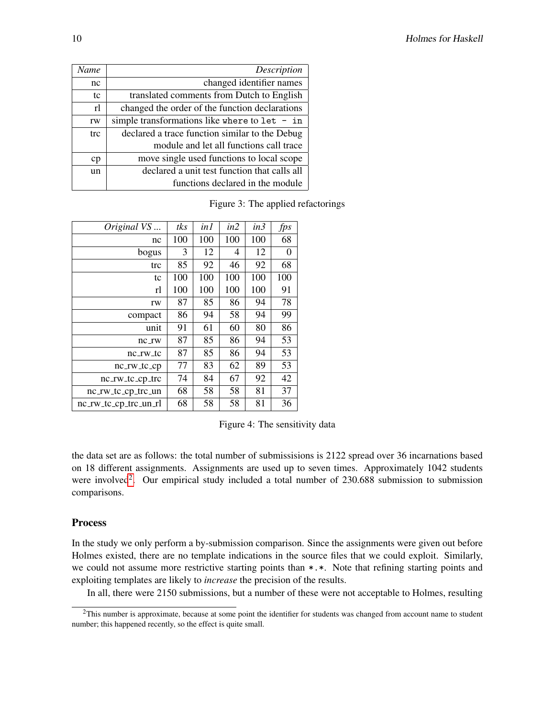| Name | Description                                     |
|------|-------------------------------------------------|
| nc   | changed identifier names                        |
| tc   | translated comments from Dutch to English       |
| rl   | changed the order of the function declarations  |
| rw   | simple transformations like where to $let - in$ |
| trc  | declared a trace function similar to the Debug  |
|      | module and let all functions call trace         |
| cp   | move single used functions to local scope       |
| un   | declared a unit test function that calls all    |
|      | functions declared in the module                |

<span id="page-9-0"></span>Figure 3: The applied refactorings

| Original VS           | tks | in1 | in2 | in3 | fps |
|-----------------------|-----|-----|-----|-----|-----|
| nc                    | 100 | 100 | 100 | 100 | 68  |
| bogus                 | 3   | 12  | 4   | 12  | 0   |
| trc                   | 85  | 92  | 46  | 92  | 68  |
| tc                    | 100 | 100 | 100 | 100 | 100 |
| rl                    | 100 | 100 | 100 | 100 | 91  |
| rw                    | 87  | 85  | 86  | 94  | 78  |
| compact               | 86  | 94  | 58  | 94  | 99  |
| unit                  | 91  | 61  | 60  | 80  | 86  |
| $nc$ _ $rw$           | 87  | 85  | 86  | 94  | 53  |
| nc_rw_tc              | 87  | 85  | 86  | 94  | 53  |
| $nc_{\text{TW}\_t}$   | 77  | 83  | 62  | 89  | 53  |
| nc_rw_tc_cp_trc       | 74  | 84  | 67  | 92  | 42  |
| nc_rw_tc_cp_trc_un    | 68  | 58  | 58  | 81  | 37  |
| nc_rw_tc_cp_trc_un_rl | 68  | 58  | 58  | 81  | 36  |

<span id="page-9-1"></span>Figure 4: The sensitivity data

the data set are as follows: the total number of submissisions is 2122 spread over 36 incarnations based on 18 different assignments. Assignments are used up to seven times. Approximately 1042 students were involved<sup>[2](#page-9-2)</sup>. Our empirical study included a total number of  $230.688$  submission to submission comparisons.

## Process

In the study we only perform a by-submission comparison. Since the assignments were given out before Holmes existed, there are no template indications in the source files that we could exploit. Similarly, we could not assume more restrictive starting points than  $*.*$ . Note that refining starting points and exploiting templates are likely to *increase* the precision of the results.

In all, there were 2150 submissions, but a number of these were not acceptable to Holmes, resulting

<span id="page-9-2"></span><sup>&</sup>lt;sup>2</sup>This number is approximate, because at some point the identifier for students was changed from account name to student number; this happened recently, so the effect is quite small.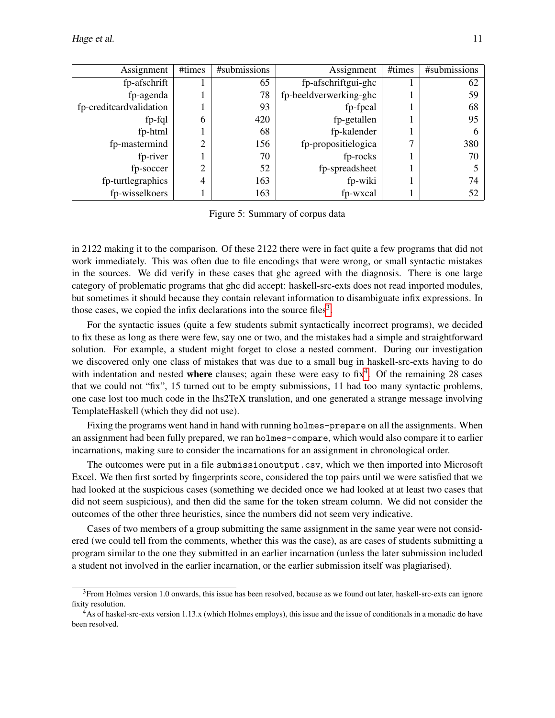| Assignment              | #times         | #submissions | Assignment             | #times | #submissions |
|-------------------------|----------------|--------------|------------------------|--------|--------------|
| fp-afschrift            |                | 65           | fp-afschriftgui-ghc    |        | 62           |
| fp-agenda               |                | 78           | fp-beeldverwerking-ghc |        | 59           |
| fp-creditcardvalidation |                | 93           | fp-fpcal               |        | 68           |
| $fp-fql$                | 6              | 420          | fp-getallen            |        | 95           |
| fp-html                 |                | 68           | fp-kalender            |        |              |
| fp-mastermind           | っ<br>∠         | 156          | fp-propositielogica    |        | 380          |
| fp-river                |                | 70           | fp-rocks               |        | 70           |
| fp-soccer               | ◠              | 52           | fp-spreadsheet         |        |              |
| fp-turtlegraphics       | $\overline{4}$ | 163          | fp-wiki                |        | 74           |
| fp-wisselkoers          |                | 163          | fp-wxcal               |        | 52           |

Figure 5: Summary of corpus data

in 2122 making it to the comparison. Of these 2122 there were in fact quite a few programs that did not work immediately. This was often due to file encodings that were wrong, or small syntactic mistakes in the sources. We did verify in these cases that ghc agreed with the diagnosis. There is one large category of problematic programs that ghc did accept: haskell-src-exts does not read imported modules, but sometimes it should because they contain relevant information to disambiguate infix expressions. In those cases, we copied the infix declarations into the source files<sup>[3](#page-10-0)</sup>.

For the syntactic issues (quite a few students submit syntactically incorrect programs), we decided to fix these as long as there were few, say one or two, and the mistakes had a simple and straightforward solution. For example, a student might forget to close a nested comment. During our investigation we discovered only one class of mistakes that was due to a small bug in haskell-src-exts having to do with indentation and nested where clauses; again these were easy to  $\text{fix}^4$  $\text{fix}^4$ . Of the remaining 28 cases that we could not "fix", 15 turned out to be empty submissions, 11 had too many syntactic problems, one case lost too much code in the lhs2TeX translation, and one generated a strange message involving TemplateHaskell (which they did not use).

Fixing the programs went hand in hand with running holmes-prepare on all the assignments. When an assignment had been fully prepared, we ran holmes-compare, which would also compare it to earlier incarnations, making sure to consider the incarnations for an assignment in chronological order.

The outcomes were put in a file submissionoutput.csv, which we then imported into Microsoft Excel. We then first sorted by fingerprints score, considered the top pairs until we were satisfied that we had looked at the suspicious cases (something we decided once we had looked at at least two cases that did not seem suspicious), and then did the same for the token stream column. We did not consider the outcomes of the other three heuristics, since the numbers did not seem very indicative.

Cases of two members of a group submitting the same assignment in the same year were not considered (we could tell from the comments, whether this was the case), as are cases of students submitting a program similar to the one they submitted in an earlier incarnation (unless the later submission included a student not involved in the earlier incarnation, or the earlier submission itself was plagiarised).

<span id="page-10-0"></span> $3$ From Holmes version 1.0 onwards, this issue has been resolved, because as we found out later, haskell-src-exts can ignore fixity resolution.

<span id="page-10-1"></span><sup>4</sup>As of haskel-src-exts version 1.13.x (which Holmes employs), this issue and the issue of conditionals in a monadic do have been resolved.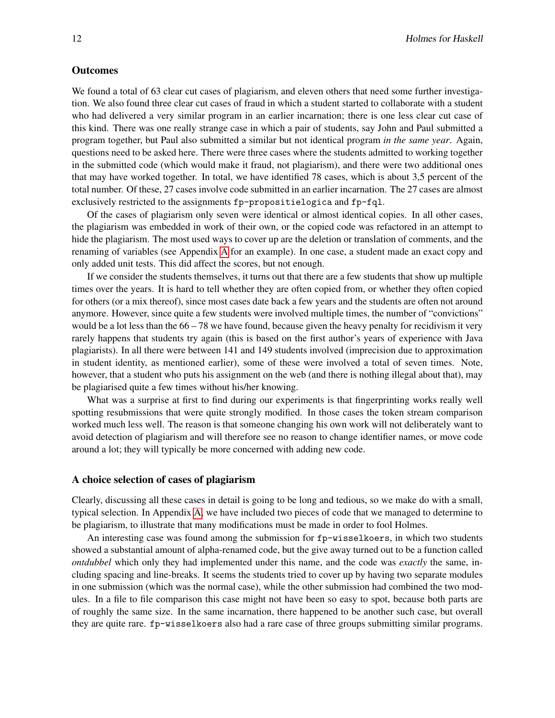#### **Outcomes**

We found a total of 63 clear cut cases of plagiarism, and eleven others that need some further investigation. We also found three clear cut cases of fraud in which a student started to collaborate with a student who had delivered a very similar program in an earlier incarnation; there is one less clear cut case of this kind. There was one really strange case in which a pair of students, say John and Paul submitted a program together, but Paul also submitted a similar but not identical program *in the same year*. Again, questions need to be asked here. There were three cases where the students admitted to working together in the submitted code (which would make it fraud, not plagiarism), and there were two additional ones that may have worked together. In total, we have identified 78 cases, which is about 3,5 percent of the total number. Of these, 27 cases involve code submitted in an earlier incarnation. The 27 cases are almost exclusively restricted to the assignments fp-propositielogica and fp-fql.

Of the cases of plagiarism only seven were identical or almost identical copies. In all other cases, the plagiarism was embedded in work of their own, or the copied code was refactored in an attempt to hide the plagiarism. The most used ways to cover up are the deletion or translation of comments, and the renaming of variables (see Appendix [A](#page-14-5) for an example). In one case, a student made an exact copy and only added unit tests. This did affect the scores, but not enough.

If we consider the students themselves, it turns out that there are a few students that show up multiple times over the years. It is hard to tell whether they are often copied from, or whether they often copied for others (or a mix thereof), since most cases date back a few years and the students are often not around anymore. However, since quite a few students were involved multiple times, the number of "convictions" would be a lot less than the  $66 - 78$  we have found, because given the heavy penalty for recidivism it very rarely happens that students try again (this is based on the first author's years of experience with Java plagiarists). In all there were between 141 and 149 students involved (imprecision due to approximation in student identity, as mentioned earlier), some of these were involved a total of seven times. Note, however, that a student who puts his assignment on the web (and there is nothing illegal about that), may be plagiarised quite a few times without his/her knowing.

What was a surprise at first to find during our experiments is that fingerprinting works really well spotting resubmissions that were quite strongly modified. In those cases the token stream comparison worked much less well. The reason is that someone changing his own work will not deliberately want to avoid detection of plagiarism and will therefore see no reason to change identifier names, or move code around a lot; they will typically be more concerned with adding new code.

#### A choice selection of cases of plagiarism

Clearly, discussing all these cases in detail is going to be long and tedious, so we make do with a small, typical selection. In Appendix [A,](#page-14-5) we have included two pieces of code that we managed to determine to be plagiarism, to illustrate that many modifications must be made in order to fool Holmes.

An interesting case was found among the submission for fp-wisselkoers, in which two students showed a substantial amount of alpha-renamed code, but the give away turned out to be a function called *ontdubbel* which only they had implemented under this name, and the code was *exactly* the same, including spacing and line-breaks. It seems the students tried to cover up by having two separate modules in one submission (which was the normal case), while the other submission had combined the two modules. In a file to file comparison this case might not have been so easy to spot, because both parts are of roughly the same size. In the same incarnation, there happened to be another such case, but overall they are quite rare. fp-wisselkoers also had a rare case of three groups submitting similar programs.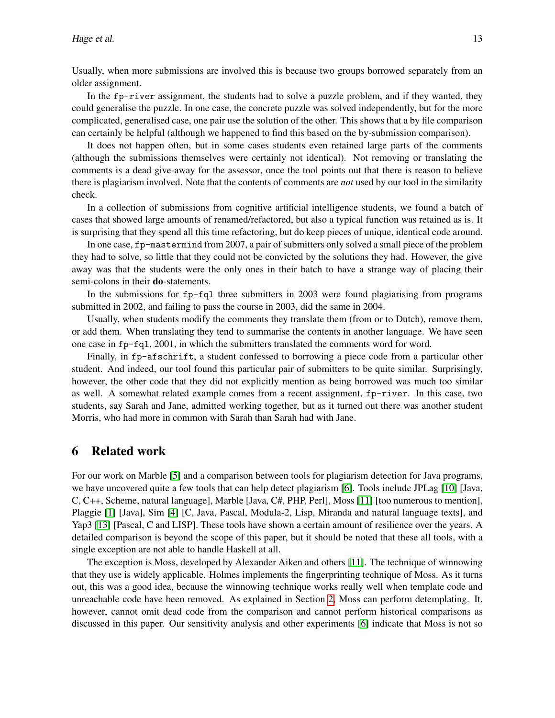Usually, when more submissions are involved this is because two groups borrowed separately from an older assignment.

In the fp-river assignment, the students had to solve a puzzle problem, and if they wanted, they could generalise the puzzle. In one case, the concrete puzzle was solved independently, but for the more complicated, generalised case, one pair use the solution of the other. This shows that a by file comparison can certainly be helpful (although we happened to find this based on the by-submission comparison).

It does not happen often, but in some cases students even retained large parts of the comments (although the submissions themselves were certainly not identical). Not removing or translating the comments is a dead give-away for the assessor, once the tool points out that there is reason to believe there is plagiarism involved. Note that the contents of comments are *not* used by our tool in the similarity check.

In a collection of submissions from cognitive artificial intelligence students, we found a batch of cases that showed large amounts of renamed/refactored, but also a typical function was retained as is. It is surprising that they spend all this time refactoring, but do keep pieces of unique, identical code around.

In one case, fp-mastermind from 2007, a pair of submitters only solved a small piece of the problem they had to solve, so little that they could not be convicted by the solutions they had. However, the give away was that the students were the only ones in their batch to have a strange way of placing their semi-colons in their **do**-statements.

In the submissions for fp-fql three submitters in 2003 were found plagiarising from programs submitted in 2002, and failing to pass the course in 2003, did the same in 2004.

Usually, when students modify the comments they translate them (from or to Dutch), remove them, or add them. When translating they tend to summarise the contents in another language. We have seen one case in fp-fql, 2001, in which the submitters translated the comments word for word.

Finally, in fp-afschrift, a student confessed to borrowing a piece code from a particular other student. And indeed, our tool found this particular pair of submitters to be quite similar. Surprisingly, however, the other code that they did not explicitly mention as being borrowed was much too similar as well. A somewhat related example comes from a recent assignment, fp-river. In this case, two students, say Sarah and Jane, admitted working together, but as it turned out there was another student Morris, who had more in common with Sarah than Sarah had with Jane.

## <span id="page-12-0"></span>6 Related work

For our work on Marble [\[5\]](#page-14-6) and a comparison between tools for plagiarism detection for Java programs, we have uncovered quite a few tools that can help detect plagiarism [\[6\]](#page-14-1). Tools include JPLag [\[10\]](#page-14-7) [Java, C, C++, Scheme, natural language], Marble [Java, C#, PHP, Perl], Moss [\[11\]](#page-14-0) [too numerous to mention], Plaggie [\[1\]](#page-13-2) [Java], Sim [\[4\]](#page-14-8) [C, Java, Pascal, Modula-2, Lisp, Miranda and natural language texts], and Yap3 [\[13\]](#page-14-9) [Pascal, C and LISP]. These tools have shown a certain amount of resilience over the years. A detailed comparison is beyond the scope of this paper, but it should be noted that these all tools, with a single exception are not able to handle Haskell at all.

The exception is Moss, developed by Alexander Aiken and others [\[11\]](#page-14-0). The technique of winnowing that they use is widely applicable. Holmes implements the fingerprinting technique of Moss. As it turns out, this was a good idea, because the winnowing technique works really well when template code and unreachable code have been removed. As explained in Section [2,](#page-1-0) Moss can perform detemplating. It, however, cannot omit dead code from the comparison and cannot perform historical comparisons as discussed in this paper. Our sensitivity analysis and other experiments [\[6\]](#page-14-1) indicate that Moss is not so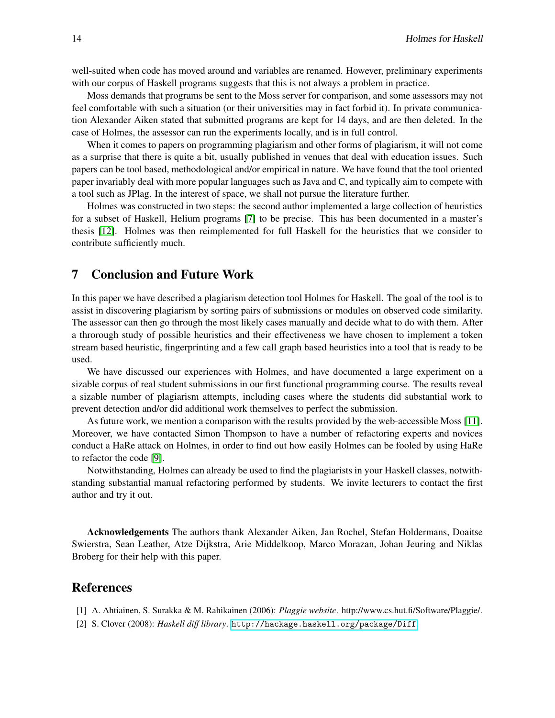well-suited when code has moved around and variables are renamed. However, preliminary experiments with our corpus of Haskell programs suggests that this is not always a problem in practice.

Moss demands that programs be sent to the Moss server for comparison, and some assessors may not feel comfortable with such a situation (or their universities may in fact forbid it). In private communication Alexander Aiken stated that submitted programs are kept for 14 days, and are then deleted. In the case of Holmes, the assessor can run the experiments locally, and is in full control.

When it comes to papers on programming plagiarism and other forms of plagiarism, it will not come as a surprise that there is quite a bit, usually published in venues that deal with education issues. Such papers can be tool based, methodological and/or empirical in nature. We have found that the tool oriented paper invariably deal with more popular languages such as Java and C, and typically aim to compete with a tool such as JPlag. In the interest of space, we shall not pursue the literature further.

Holmes was constructed in two steps: the second author implemented a large collection of heuristics for a subset of Haskell, Helium programs [\[7\]](#page-14-10) to be precise. This has been documented in a master's thesis [\[12\]](#page-14-2). Holmes was then reimplemented for full Haskell for the heuristics that we consider to contribute sufficiently much.

# <span id="page-13-0"></span>7 Conclusion and Future Work

In this paper we have described a plagiarism detection tool Holmes for Haskell. The goal of the tool is to assist in discovering plagiarism by sorting pairs of submissions or modules on observed code similarity. The assessor can then go through the most likely cases manually and decide what to do with them. After a throrough study of possible heuristics and their effectiveness we have chosen to implement a token stream based heuristic, fingerprinting and a few call graph based heuristics into a tool that is ready to be used.

We have discussed our experiences with Holmes, and have documented a large experiment on a sizable corpus of real student submissions in our first functional programming course. The results reveal a sizable number of plagiarism attempts, including cases where the students did substantial work to prevent detection and/or did additional work themselves to perfect the submission.

As future work, we mention a comparison with the results provided by the web-accessible Moss [\[11\]](#page-14-0). Moreover, we have contacted Simon Thompson to have a number of refactoring experts and novices conduct a HaRe attack on Holmes, in order to find out how easily Holmes can be fooled by using HaRe to refactor the code [\[9\]](#page-14-11).

Notwithstanding, Holmes can already be used to find the plagiarists in your Haskell classes, notwithstanding substantial manual refactoring performed by students. We invite lecturers to contact the first author and try it out.

Acknowledgements The authors thank Alexander Aiken, Jan Rochel, Stefan Holdermans, Doaitse Swierstra, Sean Leather, Atze Dijkstra, Arie Middelkoop, Marco Morazan, Johan Jeuring and Niklas Broberg for their help with this paper.

#### References

- <span id="page-13-2"></span>[1] A. Ahtiainen, S. Surakka & M. Rahikainen (2006): *Plaggie website*. http://www.cs.hut.fi/Software/Plaggie/.
- <span id="page-13-1"></span>[2] S. Clover (2008): *Haskell diff library*. <http://hackage.haskell.org/package/Diff>.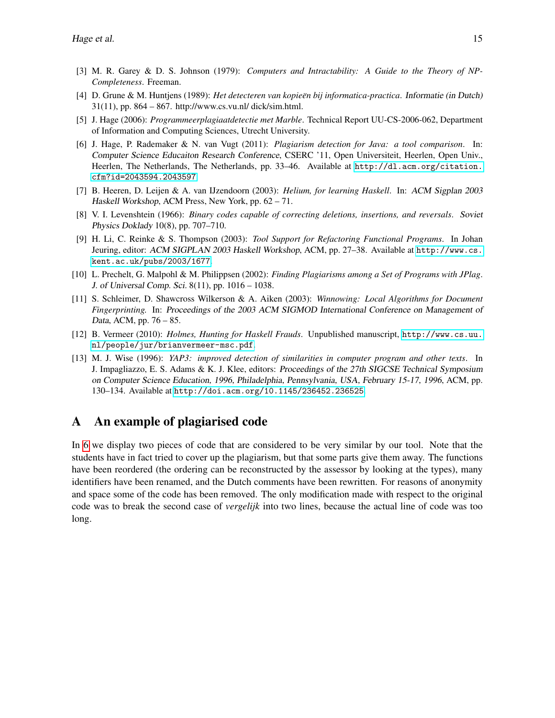- <span id="page-14-4"></span>[3] M. R. Garey & D. S. Johnson (1979): *Computers and Intractability: A Guide to the Theory of NP-Completeness*. Freeman.
- <span id="page-14-8"></span>[4] D. Grune & M. Huntjens (1989): *Het detecteren van kopieen bij informatica-practica ¨* . Informatie (in Dutch) 31(11), pp. 864 – 867. http://www.cs.vu.nl/ dick/sim.html.
- <span id="page-14-6"></span>[5] J. Hage (2006): *Programmeerplagiaatdetectie met Marble*. Technical Report UU-CS-2006-062, Department of Information and Computing Sciences, Utrecht University.
- <span id="page-14-1"></span>[6] J. Hage, P. Rademaker & N. van Vugt (2011): *Plagiarism detection for Java: a tool comparison*. In: Computer Science Educaiton Research Conference, CSERC '11, Open Universiteit, Heerlen, Open Univ., Heerlen, The Netherlands, The Netherlands, pp. 33–46. Available at [http://dl.acm.org/citation.](http://dl.acm.org/citation.cfm?id=2043594.2043597) [cfm?id=2043594.2043597](http://dl.acm.org/citation.cfm?id=2043594.2043597).
- <span id="page-14-10"></span>[7] B. Heeren, D. Leijen & A. van IJzendoorn (2003): *Helium, for learning Haskell*. In: ACM Sigplan 2003 Haskell Workshop, ACM Press, New York, pp. 62 – 71.
- <span id="page-14-3"></span>[8] V. I. Levenshtein (1966): *Binary codes capable of correcting deletions, insertions, and reversals*. Soviet Physics Doklady 10(8), pp. 707–710.
- <span id="page-14-11"></span>[9] H. Li, C. Reinke & S. Thompson (2003): *Tool Support for Refactoring Functional Programs*. In Johan Jeuring, editor: ACM SIGPLAN 2003 Haskell Workshop, ACM, pp. 27–38. Available at [http://www.cs.](http://www.cs.kent.ac.uk/pubs/2003/1677) [kent.ac.uk/pubs/2003/1677](http://www.cs.kent.ac.uk/pubs/2003/1677).
- <span id="page-14-7"></span>[10] L. Prechelt, G. Malpohl & M. Philippsen (2002): *Finding Plagiarisms among a Set of Programs with JPlag*. J. of Universal Comp. Sci. 8(11), pp. 1016 – 1038.
- <span id="page-14-0"></span>[11] S. Schleimer, D. Shawcross Wilkerson & A. Aiken (2003): *Winnowing: Local Algorithms for Document Fingerprinting.* In: Proceedings of the 2003 ACM SIGMOD International Conference on Management of Data, ACM, pp. 76 – 85.
- <span id="page-14-2"></span>[12] B. Vermeer (2010): *Holmes, Hunting for Haskell Frauds*. Unpublished manuscript, [http://www.cs.uu.](http://www.cs.uu.nl/people/jur/brianvermeer-msc.pdf) [nl/people/jur/brianvermeer-msc.pdf](http://www.cs.uu.nl/people/jur/brianvermeer-msc.pdf).
- <span id="page-14-9"></span>[13] M. J. Wise (1996): *YAP3: improved detection of similarities in computer program and other texts*. In J. Impagliazzo, E. S. Adams & K. J. Klee, editors: Proceedings of the 27th SIGCSE Technical Symposium on Computer Science Education, 1996, Philadelphia, Pennsylvania, USA, February 15-17, 1996, ACM, pp. 130–134. Available at <http://doi.acm.org/10.1145/236452.236525>.

# <span id="page-14-5"></span>A An example of plagiarised code

In [6](#page-15-0) we display two pieces of code that are considered to be very similar by our tool. Note that the students have in fact tried to cover up the plagiarism, but that some parts give them away. The functions have been reordered (the ordering can be reconstructed by the assessor by looking at the types), many identifiers have been renamed, and the Dutch comments have been rewritten. For reasons of anonymity and space some of the code has been removed. The only modification made with respect to the original code was to break the second case of *vergelijk* into two lines, because the actual line of code was too long.